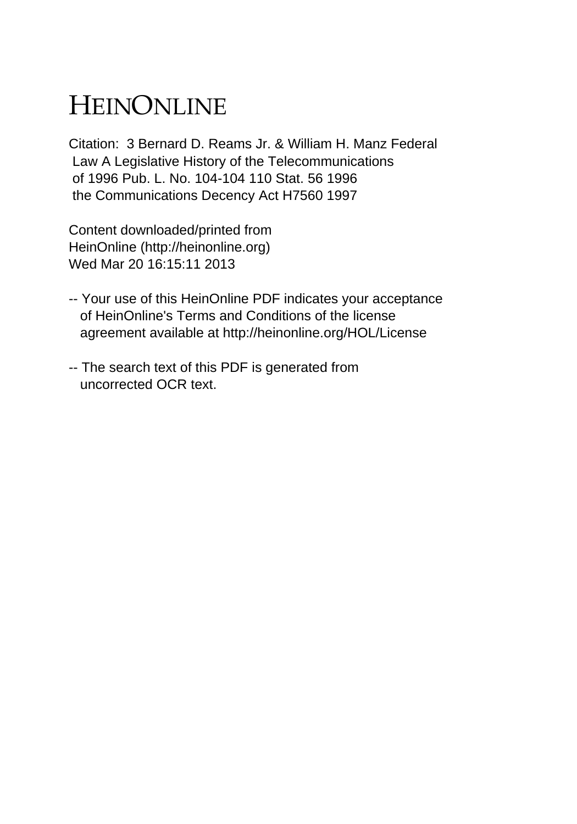# HEINONLINE

Citation: 3 Bernard D. Reams Jr. & William H. Manz Federal Law A Legislative History of the Telecommunications of 1996 Pub. L. No. 104-104 110 Stat. 56 1996 the Communications Decency Act H7560 1997

Content downloaded/printed from HeinOnline (http://heinonline.org) Wed Mar 20 16:15:11 2013

- -- Your use of this HeinOnline PDF indicates your acceptance of HeinOnline's Terms and Conditions of the license agreement available at http://heinonline.org/HOL/License
- -- The search text of this PDF is generated from uncorrected OCR text.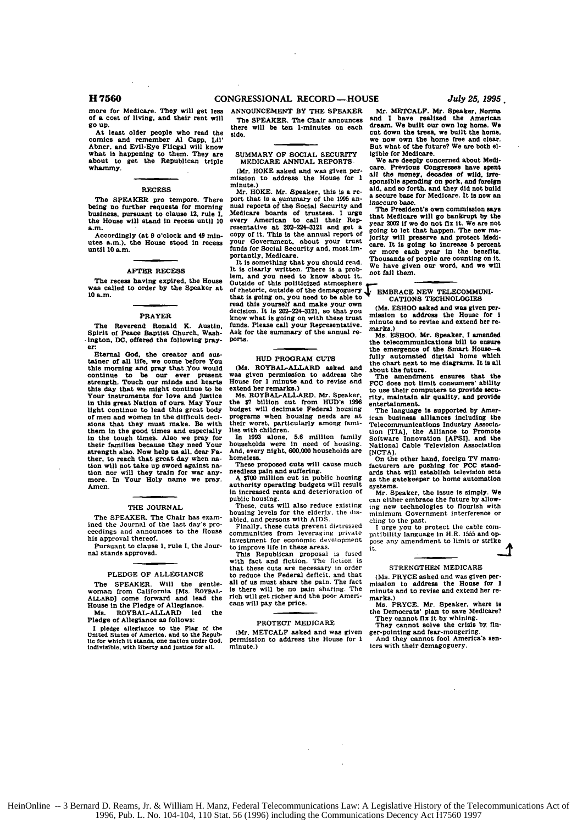**CONGRESSIONAL** RECORD- HOUSE H **7560** *July 25, 1995.*

more for Medicare. They will get less **of a** cost of living, and their rent will **go up.**

At least older people who read the comics and remember **Al** Capp, **Lil'** Abner. and Evil-Eye Fliegal will know what is happening to them. They are about to get the Republican triple whammy.

# **RECESS**

The SPEAKER pro tempore. There being no further requests for morning business, pursuant to clause 12. rule I. the House will stand in recess until **10** a.m.

Accordingly (at **9** o'clock and 49 **min**utes a.m.), the House stood In recess until **10** a.m.

## AFTER **RECESS**

The recess having expired, the House was called to order **by** the Speaker at **10** a.m.

# PRAYER

The Reverend Ronald **K.** Austin. Spirit of Peace Baptist Church. Washington. DC, offered the following prayer:

Eternal God, the creator and sus-talner of **all** life, we come before You this morning and pray that You would continue to be our ever present<br>strength. Touch our minds and hearts this day that we might continue to be Your instruments for love and Justice in this great Nation of ours. May Your light continue to lead this great body of men and women in the difficult deci-sions that they must make. Re with them in the good times and especially in the tough times. Also we pray for their families because they need Your<br>strength also. Now help us all, dear Fastrength also. Now help us all, dear Fa-<br>ther, to reach that great day when na-<br>tion will not take up sword against na-<br>tion nor will they train for war any-<br>more. In Your Holy name we pray. Amen.

# THE JOURNAL.

The SPEAKER. The Chair has examined the Journal of the last day's pro-ceedings and announces to the House his approval thereof.

Pursuant to clause **1.** rule **I.** the Journal stands approved.

# PLEDGE OF ALLEGIANCE

The SPEAKER. Will the gentle- woman from California [Ms. ROYBAL-ALLARD] come forward and lead the House in the Pledge of Allegiance.

Ms. ROYBAL-ALLARD led Pledge of Allegiance as follows:

**<sup>I</sup>**pledge allegiance to the **Flag** of the United States of America, and to the Repub- **lic** for which it stands, one nation **under** God. indivisible. with liberty and justice for **all.**

**ANNOUNCEMENT** BY THE SPEAKER The SPEAKER. The Chair announces there will be ten 1-minutes on each

SUMMARY OF SOCIAL SECURITY **Igible for Medicare.**<br>MEDICARE ANNUAL REPORTS We are deeply concerned about Medi-

side.

mission to address the House for 1 minute.)

Mr. HOKE. Mr. Speaker, this is a re-<br>port that is a summary of the 1995 an-<br>nual reports of the Social Security and<br>mass phase put unat is a solutional of the Social Security and<br>Medicare boards of trustees. I urge<br>Medicare boards of trustees. I urge<br>that Medicare will go bankrupt by the<br>every American to call their Rep-year 2002 if we do not fix Funds for Social Security and, most.im-<br>
funds for Social Security and, most.im-<br>
funds for Social Security and, most.im-<br>
portantly, Medicare.<br>
portantly, Medicare.<br>
The magnetic state of the benefits on the<br>
order of the

**lem,** and you need to know **about it. fall them.** Outside of this politicized atmosphere<br>that is going on, you need to be able to<br>that is going on, you need to be able to<br>that is going on, you need to be able to<br>carriows TECHNOLOGIES<br>decision. It is 202-224-3121, so that read this yourself and make your own (Ms. ESHOO asked and was given per-<br>decision. It is 202-234-3121, so that you mission to address the House for **I**<br>funds. Please call your Representative. minute and to revise and exten **Ask for the summary of the annual re-** Ms. **ESHOO.** Mr. Speaker, **I** amended

**was given** permission to address the The amendment ensures that the House for **1** minute and to revise and **FCC** does **not** limit consumers' ability

the **\$7** billion cut from **HUD's 1996** entertainment. budget will decimate Federal housing The language is supported **by** Amer-

households were in need of housing. National Cable Television Association And. every night, **600.000** households **are [NCTA].**

**A 700** million cut in public housing as the gatekeeper to home automation authority operating budgets will result systems. in increased rents and deterioration **of** Mr. Speaker. the issue is simply. We

housing levels for the elderly, the dis-<br>minimum Government interference or<br>abled, and persons with AIDS.<br>Finally, these cuts prevent distressed<br>I urge you to protect the cable com-

Einvestment for economic development pose any amendment to limit or strike<br>to improve life in these areas.<br>t.

This Republican proposal is fused with fact and fiction. The fiction is that these cuts **are** necessary in order to reduce the Federal deficit, and that all of us must share the pain. The fact is there will be no pain sharing. The rich will get richer and the poor Ameri- cans will pay the price.

# PROTECT MEDICARE

(Mr. METCALF asked and was given permission to address the House for **I** minute.)

Mr. **METCALF.** Mr. Speaker. Norms and **I** have realized the American dream. We built our own log home. We cut down the trees, we built the home, we **now** own the home free and clear. But what of the future? We are beth **el-**

MEDICARE ANNUAL REPORTS<br>
(Mr. HOKE asked and was given per- all the money. decades of wild. irre-<br> **care.** Previous Congresses have spent minute.) sponsible spending on pork, and foreign<br>
Mr. HOKE. Mr. Speaker, this is a re-<br>
Mr. HOKE. Mr. Speaker, this is a re-<br>
a geome heat for the hot build not build not be

going to let that happen. The new ma-<br>jority will preserve and protect Medi-<br>care. It is going to increase 5 percent It is something the benefits. **It is a solution of the state of people are counting on it.** It is something that you should read. Thousands of people are counting on it. It is computing on it. It is computing that you shou

**ports,** the telecommunications bill to ensure the emergence of the Smart House HUD PROGRAM CUTS **fully automated digital home which**<br>the chart next to me diagrams. It is all<br>was given permission to address the **The amendment** ensures that the

extend her remarks.)<br>Ms. ROYBAL-ALLARD. Mr. Speaker. rity. maintain air quality, and provide<br>Ms. ROYBAL-ALLARD. Mr. Speaker. rity. maintain air quality, and provide

programs when housing needs are at Iean business alliances including the their worst. particularly **among** fami- Telecommunications Industry Assocla-lies with children, tion ITIA], the Alliance to Promote Information familiance to Promote<br>Software Innovation (APSI), and the<br>National Cable Television Association

homeless. On the other hand, foreign TV manu-<br>homeless. On the other hand, foreign TV manu-<br>These proposed cuts will cause much facturers are pushing for **FCC** stand-<br>needless pain and suffering. facturers are pushing for FCC standards that will establish television sets

public housing.<br>can either embrace the future by allow-<br>These, cuts will also reduce existing ing new technologies to flourish with<br>housing levels for the elderly, the dis- minimum Government interference or

Finally, these cuts prevent distressed **I** urge you to protect the cable com-<br>ommunities from leveraging private patibility language in H.R. 1555 and opcommunities from leveraging private patibility language in H.R. 1555 and op-<br>Investment for economic development pose any amendment to limit or strike

### **STRENGTHEN MEDICARE**

(Ms. PRYCE asked and was given permission to address the House **for I** minute and to revise and extend her remarks.)

Ms. PRYCE. Mr. Speaker, where is the Democrats' plan to save Medicare? **They** cannot fix it **by** whining. **They** cannot solve the crisis by fin-

ger-pointing and fear-mongering. And they cannot **fool** America's sen-iors with their demagoguery.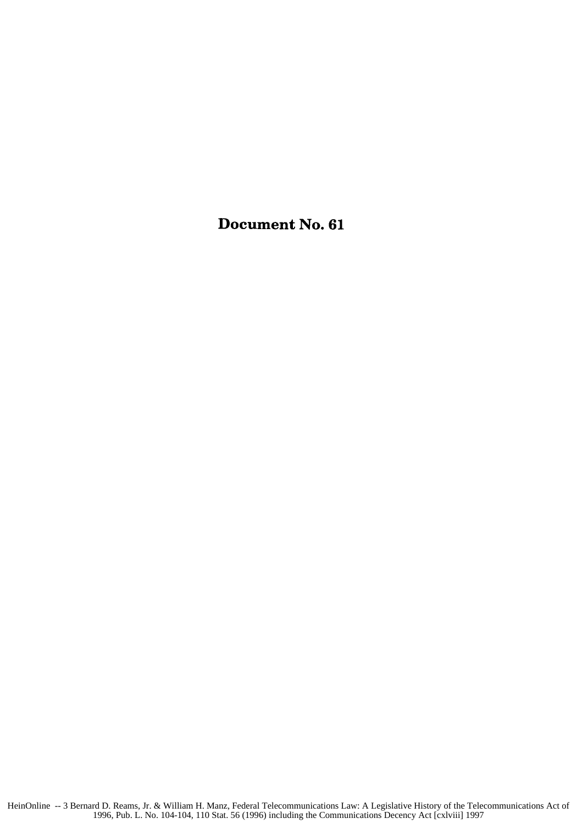Document No. **61**